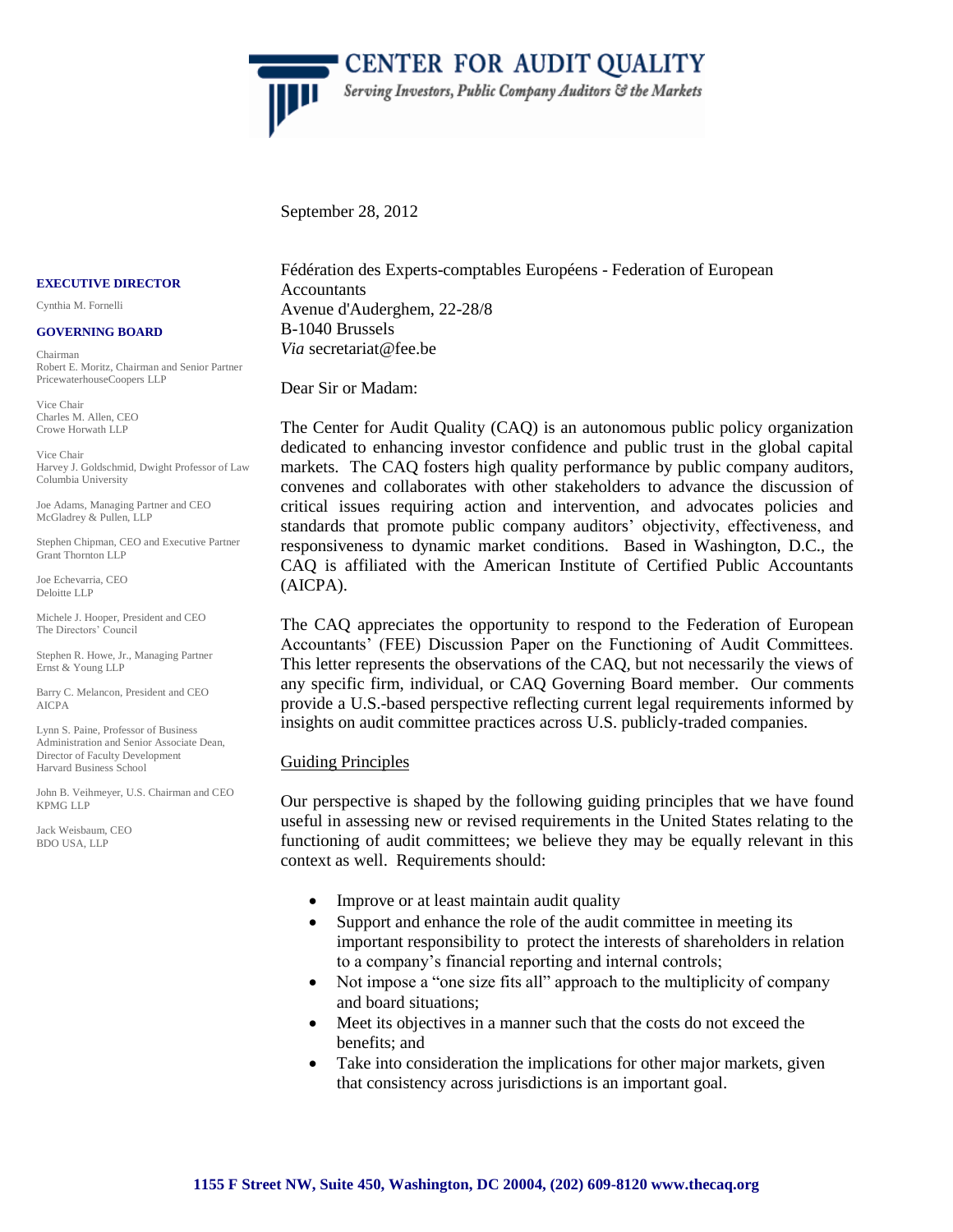

" CENTER FOR AUDIT QUALITY Serving Investors, Public Company Auditors & the Markets

September 28, 2012

#### **EXECUTIVE DIRECTOR**

Cynthia M. Fornelli

#### **GOVERNING BOARD**

Chairman Robert E. Moritz, Chairman and Senior Partner PricewaterhouseCoopers LLP

Vice Chair Charles M. Allen, CEO Crowe Horwath LLP

Vice Chair Harvey J. Goldschmid, Dwight Professor of Law Columbia University

Joe Adams, Managing Partner and CEO McGladrey & Pullen, LLP

Stephen Chipman, CEO and Executive Partner Grant Thornton LLP

Joe Echevarria, CEO Deloitte LLP

Michele J. Hooper, President and CEO The Directors' Council

Stephen R. Howe, Jr., Managing Partner Ernst & Young LLP

Barry C. Melancon, President and CEO AICPA

Lynn S. Paine, Professor of Business Administration and Senior Associate Dean, Director of Faculty Development Harvard Business School

John B. Veihmeyer, U.S. Chairman and CEO KPMG LLP

Jack Weisbaum, CEO BDO USA, LLP

Fédération des Experts-comptables Européens - Federation of European Accountants Avenue d'Auderghem, 22-28/8 B-1040 Brussels *Via* secretariat@fee.be

Dear Sir or Madam:

The Center for Audit Quality (CAQ) is an autonomous public policy organization dedicated to enhancing investor confidence and public trust in the global capital markets. The CAQ fosters high quality performance by public company auditors, convenes and collaborates with other stakeholders to advance the discussion of critical issues requiring action and intervention, and advocates policies and standards that promote public company auditors' objectivity, effectiveness, and responsiveness to dynamic market conditions. Based in Washington, D.C., the CAQ is affiliated with the American Institute of Certified Public Accountants (AICPA).

The CAQ appreciates the opportunity to respond to the Federation of European Accountants' (FEE) Discussion Paper on the Functioning of Audit Committees. This letter represents the observations of the CAQ, but not necessarily the views of any specific firm, individual, or CAQ Governing Board member. Our comments provide a U.S.-based perspective reflecting current legal requirements informed by insights on audit committee practices across U.S. publicly-traded companies.

# Guiding Principles

Our perspective is shaped by the following guiding principles that we have found useful in assessing new or revised requirements in the United States relating to the functioning of audit committees; we believe they may be equally relevant in this context as well. Requirements should:

- Improve or at least maintain audit quality
- Support and enhance the role of the audit committee in meeting its important responsibility to protect the interests of shareholders in relation to a company's financial reporting and internal controls;
- Not impose a "one size fits all" approach to the multiplicity of company and board situations;
- Meet its objectives in a manner such that the costs do not exceed the benefits; and
- Take into consideration the implications for other major markets, given that consistency across jurisdictions is an important goal.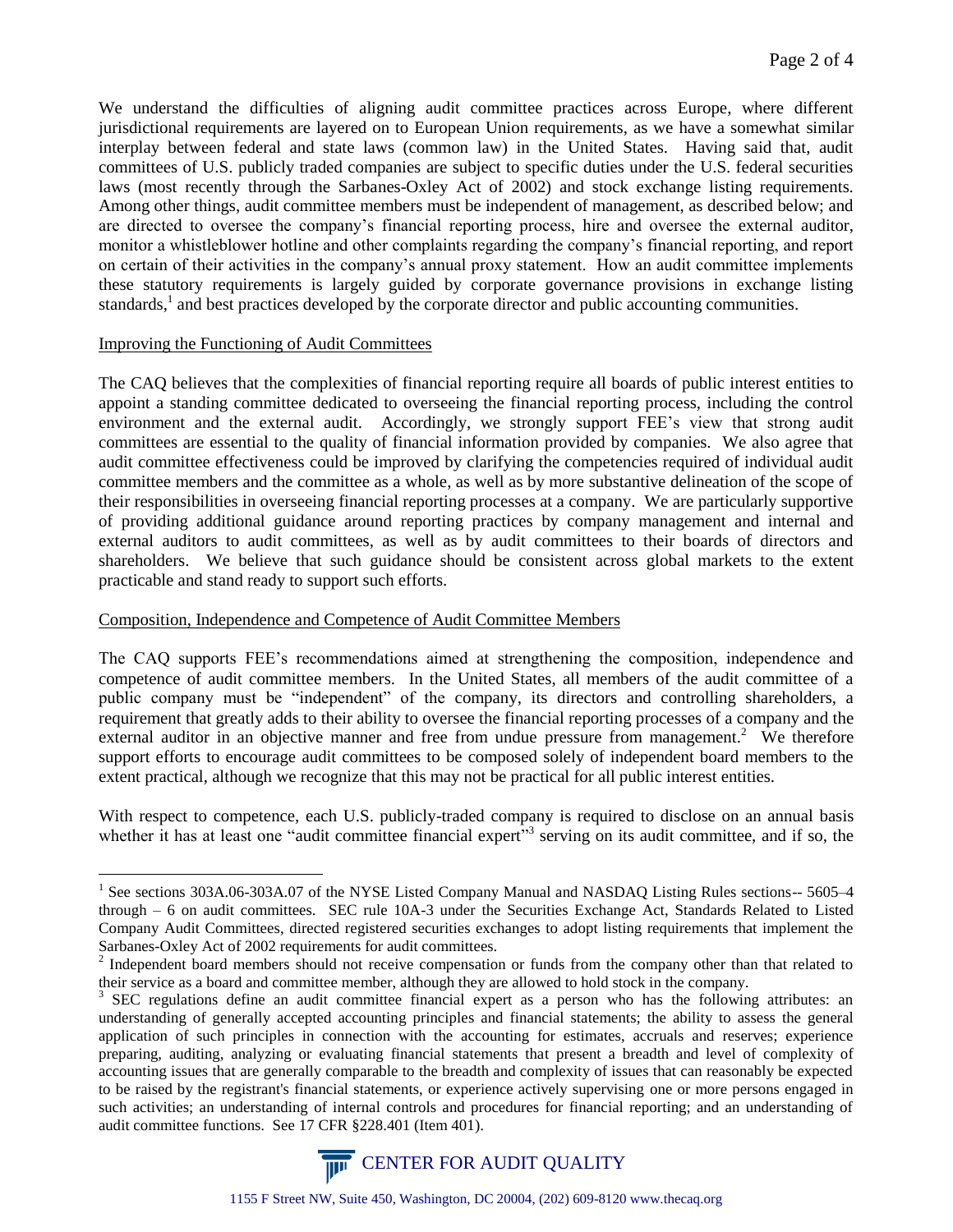We understand the difficulties of aligning audit committee practices across Europe, where different jurisdictional requirements are layered on to European Union requirements, as we have a somewhat similar interplay between federal and state laws (common law) in the United States. Having said that, audit committees of U.S. publicly traded companies are subject to specific duties under the U.S. federal securities laws (most recently through the Sarbanes-Oxley Act of 2002) and stock exchange listing requirements. Among other things, audit committee members must be independent of management, as described below; and are directed to oversee the company's financial reporting process, hire and oversee the external auditor, monitor a whistleblower hotline and other complaints regarding the company's financial reporting, and report on certain of their activities in the company's annual proxy statement. How an audit committee implements these statutory requirements is largely guided by corporate governance provisions in exchange listing standards,<sup>1</sup> and best practices developed by the corporate director and public accounting communities.

#### Improving the Functioning of Audit Committees

1

The CAQ believes that the complexities of financial reporting require all boards of public interest entities to appoint a standing committee dedicated to overseeing the financial reporting process, including the control environment and the external audit. Accordingly, we strongly support FEE's view that strong audit committees are essential to the quality of financial information provided by companies. We also agree that audit committee effectiveness could be improved by clarifying the competencies required of individual audit committee members and the committee as a whole, as well as by more substantive delineation of the scope of their responsibilities in overseeing financial reporting processes at a company. We are particularly supportive of providing additional guidance around reporting practices by company management and internal and external auditors to audit committees, as well as by audit committees to their boards of directors and shareholders. We believe that such guidance should be consistent across global markets to the extent practicable and stand ready to support such efforts.

# Composition, Independence and Competence of Audit Committee Members

The CAQ supports FEE's recommendations aimed at strengthening the composition, independence and competence of audit committee members. In the United States, all members of the audit committee of a public company must be "independent" of the company, its directors and controlling shareholders, a requirement that greatly adds to their ability to oversee the financial reporting processes of a company and the external auditor in an objective manner and free from undue pressure from management.<sup>2</sup> We therefore support efforts to encourage audit committees to be composed solely of independent board members to the extent practical, although we recognize that this may not be practical for all public interest entities.

With respect to competence, each U.S. publicly-traded company is required to disclose on an annual basis whether it has at least one "audit committee financial expert"<sup>3</sup> serving on its audit committee, and if so, the

<sup>&</sup>lt;sup>3</sup> SEC regulations define an audit committee financial expert as a person who has the following attributes: an understanding of generally accepted accounting principles and financial statements; the ability to assess the general application of such principles in connection with the accounting for estimates, accruals and reserves; experience preparing, auditing, analyzing or evaluating financial statements that present a breadth and level of complexity of accounting issues that are generally comparable to the breadth and complexity of issues that can reasonably be expected to be raised by the registrant's financial statements, or experience actively supervising one or more persons engaged in such activities; an understanding of internal controls and procedures for financial reporting; and an understanding of audit committee functions. See 17 CFR §228.401 (Item 401).



<sup>&</sup>lt;sup>1</sup> See sections 303A.06-303A.07 of the NYSE Listed Company Manual and NASDAQ Listing Rules sections-- 5605–4 through – 6 on audit committees. SEC rule 10A-3 under the Securities Exchange Act, Standards Related to Listed Company Audit Committees, directed registered securities exchanges to adopt listing requirements that implement the Sarbanes-Oxley Act of 2002 requirements for audit committees.

<sup>&</sup>lt;sup>2</sup> Independent board members should not receive compensation or funds from the company other than that related to their service as a board and committee member, although they are allowed to hold stock in the company.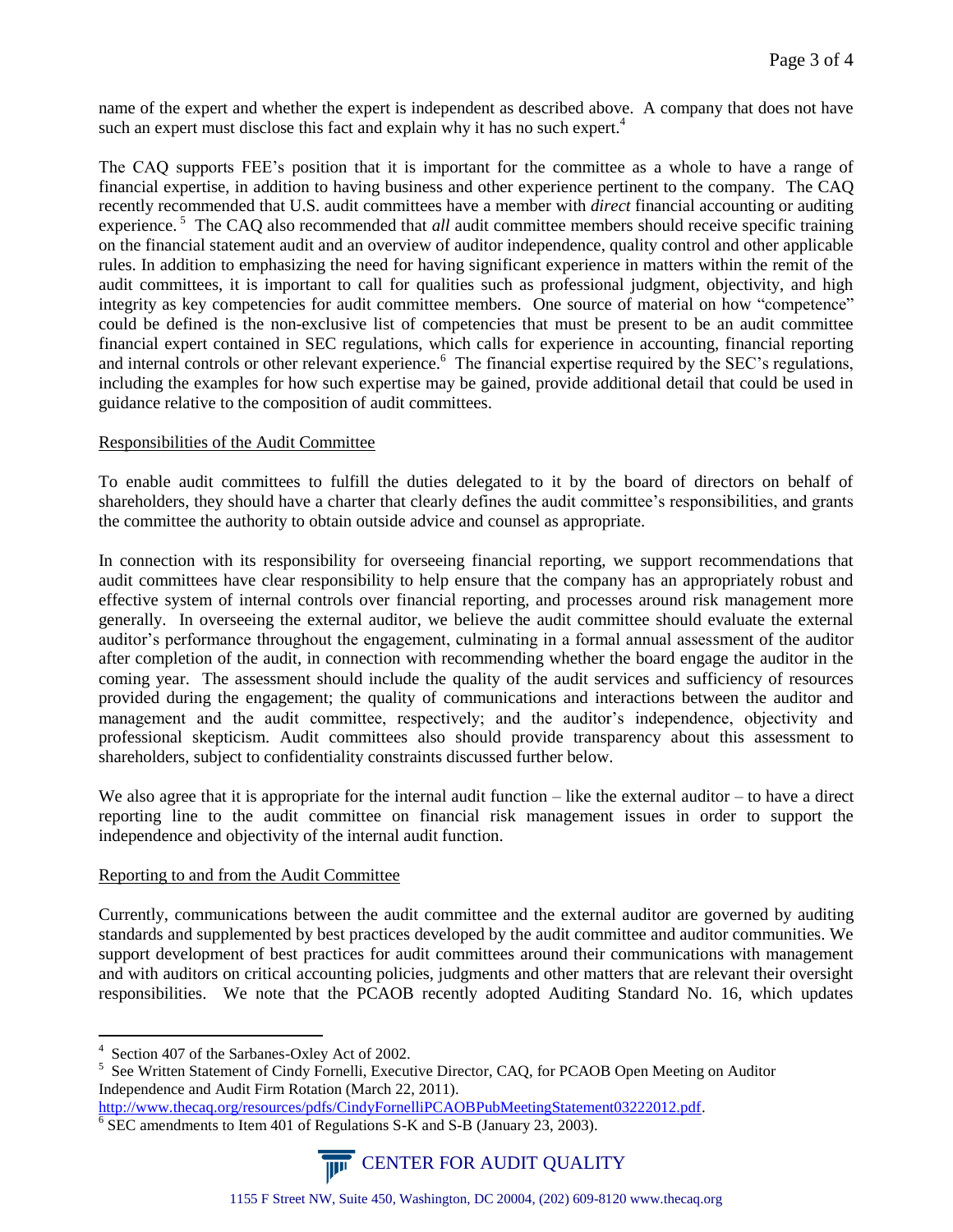name of the expert and whether the expert is independent as described above. A company that does not have such an expert must disclose this fact and explain why it has no such expert.<sup>4</sup>

The CAQ supports FEE's position that it is important for the committee as a whole to have a range of financial expertise, in addition to having business and other experience pertinent to the company. The CAQ recently recommended that U.S. audit committees have a member with *direct* financial accounting or auditing experience.<sup>5</sup> The CAQ also recommended that *all* audit committee members should receive specific training on the financial statement audit and an overview of auditor independence, quality control and other applicable rules. In addition to emphasizing the need for having significant experience in matters within the remit of the audit committees, it is important to call for qualities such as professional judgment, objectivity, and high integrity as key competencies for audit committee members. One source of material on how "competence" could be defined is the non-exclusive list of competencies that must be present to be an audit committee financial expert contained in SEC regulations, which calls for experience in accounting, financial reporting and internal controls or other relevant experience.<sup>6</sup> The financial expertise required by the SEC's regulations, including the examples for how such expertise may be gained, provide additional detail that could be used in guidance relative to the composition of audit committees.

# Responsibilities of the Audit Committee

To enable audit committees to fulfill the duties delegated to it by the board of directors on behalf of shareholders, they should have a charter that clearly defines the audit committee's responsibilities, and grants the committee the authority to obtain outside advice and counsel as appropriate.

In connection with its responsibility for overseeing financial reporting, we support recommendations that audit committees have clear responsibility to help ensure that the company has an appropriately robust and effective system of internal controls over financial reporting, and processes around risk management more generally. In overseeing the external auditor, we believe the audit committee should evaluate the external auditor's performance throughout the engagement, culminating in a formal annual assessment of the auditor after completion of the audit, in connection with recommending whether the board engage the auditor in the coming year. The assessment should include the quality of the audit services and sufficiency of resources provided during the engagement; the quality of communications and interactions between the auditor and management and the audit committee, respectively; and the auditor's independence, objectivity and professional skepticism. Audit committees also should provide transparency about this assessment to shareholders, subject to confidentiality constraints discussed further below.

We also agree that it is appropriate for the internal audit function – like the external auditor – to have a direct reporting line to the audit committee on financial risk management issues in order to support the independence and objectivity of the internal audit function.

#### Reporting to and from the Audit Committee

Currently, communications between the audit committee and the external auditor are governed by auditing standards and supplemented by best practices developed by the audit committee and auditor communities. We support development of best practices for audit committees around their communications with management and with auditors on critical accounting policies, judgments and other matters that are relevant their oversight responsibilities. We note that the PCAOB recently adopted Auditing Standard No. 16, which updates

<sup>&</sup>lt;sup>6</sup> SEC amendments to Item 401 of Regulations S-K and S-B (January 23, 2003).



 4 Section 407 of the Sarbanes-Oxley Act of 2002.

<sup>&</sup>lt;sup>5</sup> See Written Statement of Cindy Fornelli, Executive Director, CAQ, for PCAOB Open Meeting on Auditor Independence and Audit Firm Rotation (March 22, 2011).

[http://www.thecaq.org/resources/pdfs/CindyFornelliPCAOBPubMeetingStatement03222012.pdf.](http://www.thecaq.org/resources/pdfs/CindyFornelliPCAOBPubMeetingStatement03222012.pdf)